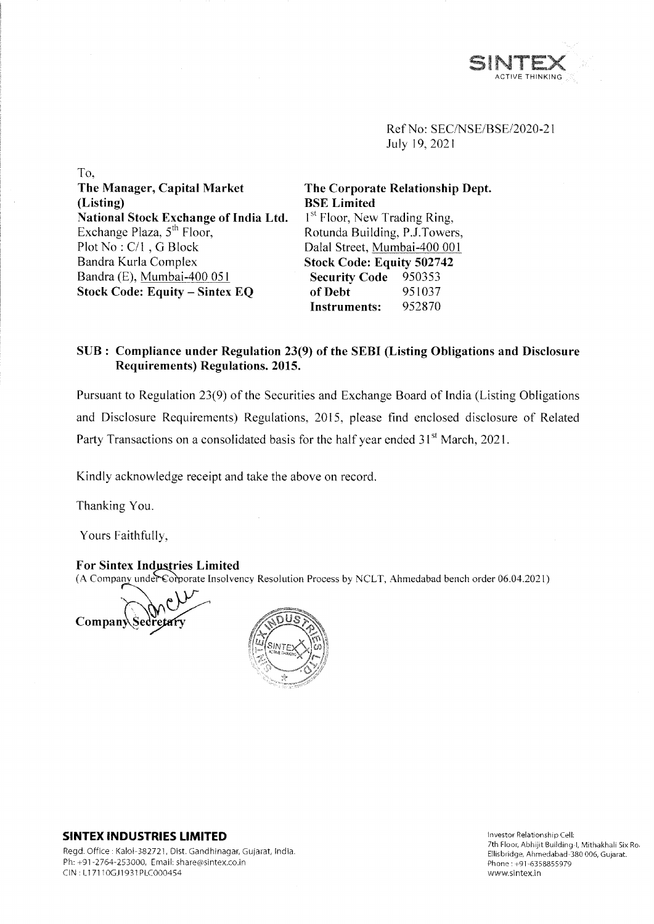

Ref No: SEC/NSE/BSE/2020-21 July 19, 2021

To, **The Manager, Capital Market (Listing) National Stock Exchange of India Ltd.** Exchange Plaza,  $5<sup>th</sup>$  Floor, Plot No : C/l , G Block Bandra Kurla Complex Bandra (E), Mumbai-400 051 **Stock Code: Equity - Sintex EQ**

**The Corporate Relationship Dept. BSE Limited** 1<sup>st</sup> Floor, New Trading Ring, Rotunda Building, P.J.Towers, Dalai Street, Mumbai-400 001 **Stock Code: Equity 502742 Security Code** 950353 **of Debt** 951037<br>**Instruments:** 952870 **Instruments:** 

## **SUB : Compliance under Regulation 23(9) of the SEBI (Listing Obligations and Disclosure Requirements) Regulations. 2015.**

Pursuant to Regulation 23(9) of the Securities and Exchange Board of India (Listing Obligations and Disclosure Requirements) Regulations, 2015, please find enclosed disclosure of Related Party Transactions on a consolidated basis for the half year ended 31<sup>st</sup> March, 2021.

Kindly acknowledge receipt and take the above on record.

Thanking You.

Yours Faithfully,

**For Sintex Industries Limited** (A Company under Corporate Insolvency Resolution Process by NCLT, Ahmedabad bench order 06.04.2021)

Compan



## **SINTEX INDUSTRIES LIMITED**

Regd. Office : Kalol-382721, Dist. Gandhinagar, Gujarat, India. Ph: +91 -2764-253000, Email: [share@sintex.co.in](mailto:share@sintex.co.in) CIN : LI 7110GJ1931PLC000454

Investor Relationship Cell: 7th Floor, Abhijit Building-1, Mithakhali Six Ro. Ellisbridge, Ahmedabad-380 006, Gujarat. Phone:+91-6358855979 [www.sintex.in](http://www.sintex.in)